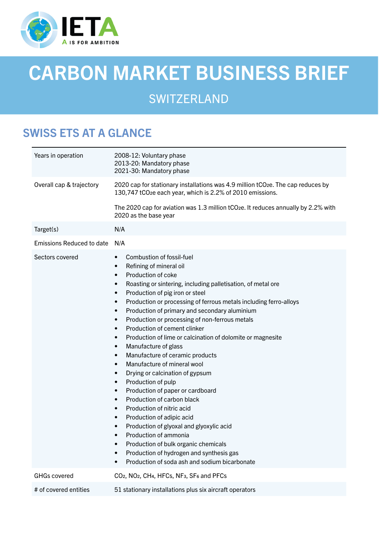

# CARBON MARKET BUSINESS BRIEF

# **SWITZERLAND**

## SWISS ETS AT A GLANCE

| Years in operation               | 2008-12: Voluntary phase<br>2013-20: Mandatory phase<br>2021-30: Mandatory phase                                                                                                                                                                                                                                                                                                                                                                                                                                                                                                                                                                                                                                                                                                                                                                                                                                                                                                                                                                                                                                                                                                                         |
|----------------------------------|----------------------------------------------------------------------------------------------------------------------------------------------------------------------------------------------------------------------------------------------------------------------------------------------------------------------------------------------------------------------------------------------------------------------------------------------------------------------------------------------------------------------------------------------------------------------------------------------------------------------------------------------------------------------------------------------------------------------------------------------------------------------------------------------------------------------------------------------------------------------------------------------------------------------------------------------------------------------------------------------------------------------------------------------------------------------------------------------------------------------------------------------------------------------------------------------------------|
| Overall cap & trajectory         | 2020 cap for stationary installations was 4.9 million tCO <sub>2</sub> e. The cap reduces by<br>130,747 tCO <sub>2</sub> e each year, which is 2.2% of 2010 emissions.                                                                                                                                                                                                                                                                                                                                                                                                                                                                                                                                                                                                                                                                                                                                                                                                                                                                                                                                                                                                                                   |
|                                  | The 2020 cap for aviation was 1.3 million tCO <sub>2</sub> e. It reduces annually by 2.2% with<br>2020 as the base year                                                                                                                                                                                                                                                                                                                                                                                                                                                                                                                                                                                                                                                                                                                                                                                                                                                                                                                                                                                                                                                                                  |
| Target(s)                        | N/A                                                                                                                                                                                                                                                                                                                                                                                                                                                                                                                                                                                                                                                                                                                                                                                                                                                                                                                                                                                                                                                                                                                                                                                                      |
| <b>Emissions Reduced to date</b> | N/A                                                                                                                                                                                                                                                                                                                                                                                                                                                                                                                                                                                                                                                                                                                                                                                                                                                                                                                                                                                                                                                                                                                                                                                                      |
| Sectors covered                  | Combustion of fossil-fuel<br>$\bullet$<br>Refining of mineral oil<br>$\bullet$<br>Production of coke<br>$\bullet$<br>Roasting or sintering, including palletisation, of metal ore<br>$\bullet$<br>Production of pig iron or steel<br>$\bullet$<br>Production or processing of ferrous metals including ferro-alloys<br>$\bullet$<br>Production of primary and secondary aluminium<br>$\bullet$<br>Production or processing of non-ferrous metals<br>$\bullet$<br>Production of cement clinker<br>$\bullet$<br>Production of lime or calcination of dolomite or magnesite<br>$\bullet$<br>Manufacture of glass<br>$\bullet$<br>Manufacture of ceramic products<br>$\bullet$<br>Manufacture of mineral wool<br>$\bullet$<br>Drying or calcination of gypsum<br>$\bullet$<br>Production of pulp<br>$\bullet$<br>Production of paper or cardboard<br>$\bullet$<br>Production of carbon black<br>$\bullet$<br>Production of nitric acid<br>$\bullet$<br>Production of adipic acid<br>$\bullet$<br>Production of glyoxal and glyoxylic acid<br>٠<br>Production of ammonia<br>Production of bulk organic chemicals<br>Production of hydrogen and synthesis gas<br>Production of soda ash and sodium bicarbonate |
| <b>GHGs covered</b>              | CO <sub>2</sub> , NO <sub>2</sub> , CH <sub>4</sub> , HFC <sub>s</sub> , NF <sub>3</sub> , SF <sub>6</sub> and PFC <sub>s</sub>                                                                                                                                                                                                                                                                                                                                                                                                                                                                                                                                                                                                                                                                                                                                                                                                                                                                                                                                                                                                                                                                          |
| # of covered entities            | 51 stationary installations plus six aircraft operators                                                                                                                                                                                                                                                                                                                                                                                                                                                                                                                                                                                                                                                                                                                                                                                                                                                                                                                                                                                                                                                                                                                                                  |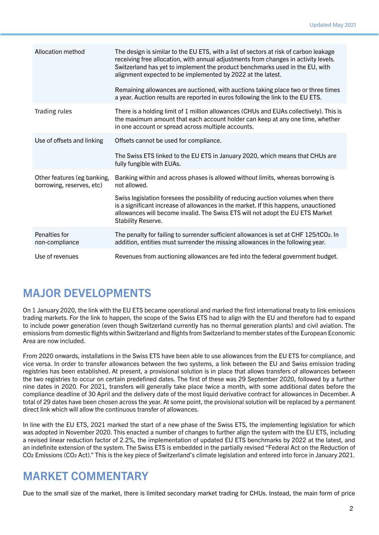| Allocation method                                        | The design is similar to the EU ETS, with a list of sectors at risk of carbon leakage<br>receiving free allocation, with annual adjustments from changes in activity levels.<br>Switzerland has yet to implement the product benchmarks used in the EU, with<br>alignment expected to be implemented by 2022 at the latest.<br>Remaining allowances are auctioned, with auctions taking place two or three times<br>a year. Auction results are reported in euros following the link to the EU ETS. |
|----------------------------------------------------------|-----------------------------------------------------------------------------------------------------------------------------------------------------------------------------------------------------------------------------------------------------------------------------------------------------------------------------------------------------------------------------------------------------------------------------------------------------------------------------------------------------|
| Trading rules                                            | There is a holding limit of 1 million allowances (CHUs and EUAs collectively). This is<br>the maximum amount that each account holder can keep at any one time, whether<br>in one account or spread across multiple accounts.                                                                                                                                                                                                                                                                       |
| Use of offsets and linking                               | Offsets cannot be used for compliance.<br>The Swiss ETS linked to the EU ETS in January 2020, which means that CHUs are<br>fully fungible with EUAs.                                                                                                                                                                                                                                                                                                                                                |
| Other features (eg banking,<br>borrowing, reserves, etc) | Banking within and across phases is allowed without limits, whereas borrowing is<br>not allowed.<br>Swiss legislation foresees the possibility of reducing auction volumes when there<br>is a significant increase of allowances in the market. If this happens, unauctioned<br>allowances will become invalid. The Swiss ETS will not adopt the EU ETS Market<br><b>Stability Reserve.</b>                                                                                                         |
| Penalties for<br>non-compliance                          | The penalty for failing to surrender sufficient allowances is set at CHF 125/tCO2. In<br>addition, entities must surrender the missing allowances in the following year.                                                                                                                                                                                                                                                                                                                            |
| Use of revenues                                          | Revenues from auctioning allowances are fed into the federal government budget.                                                                                                                                                                                                                                                                                                                                                                                                                     |

## MAJOR DEVELOPMENTS

On 1 January 2020, the link with the EU ETS became operational and marked the first international treaty to link emissions trading markets. For the link to happen, the scope of the Swiss ETS had to align with the EU and therefore had to expand to include power generation (even though Switzerland currently has no thermal generation plants) and civil aviation. The emissions from domestic flights within Switzerland and flights from Switzerland to member states of the European Economic Area are now included.

From 2020 onwards, installations in the Swiss ETS have been able to use allowances from the EU ETS for compliance, and vice versa. In order to transfer allowances between the two systems, a link between the EU and Swiss emission trading registries has been established. At present, a provisional solution is in place that allows transfers of allowances between the two registries to occur on certain predefined dates. The first of these was 29 September 2020, followed by a further nine dates in 2020. For 2021, transfers will generally take place twice a month, with some additional dates before the compliance deadline of 30 April and the delivery date of the most liquid derivative contract for allowances in December. A total of 29 dates have been chosen across the year. At some point, the provisional solution will be replaced by a permanent direct link which will allow the continuous transfer of allowances.

In line with the EU ETS, 2021 marked the start of a new phase of the Swiss ETS, the implementing legislation for which was adopted in November 2020. This enacted a number of changes to further align the system with the EU ETS, including a revised linear reduction factor of 2.2%, the implementation of updated EU ETS benchmarks by 2022 at the latest, and an indefinite extension of the system. The Swiss ETS is embedded in the partially revised "Federal Act on the Reduction of CO2 Emissions (CO2 Act)." This is the key piece of Switzerland's climate legislation and entered into force in January 2021.

## MARKET COMMENTARY

Due to the small size of the market, there is limited secondary market trading for CHUs. Instead, the main form of price